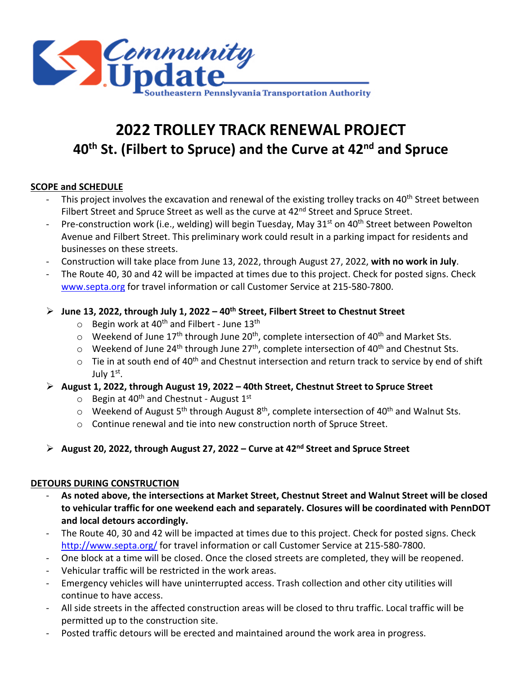

# **2022 TROLLEY TRACK RENEWAL PROJECT 40th St. (Filbert to Spruce) and the Curve at 42nd and Spruce**

## **SCOPE and SCHEDULE**

- This project involves the excavation and renewal of the existing trolley tracks on 40<sup>th</sup> Street between Filbert Street and Spruce Street as well as the curve at 42<sup>nd</sup> Street and Spruce Street.
- Pre-construction work (i.e., welding) will begin Tuesday, May  $31<sup>st</sup>$  on  $40<sup>th</sup>$  Street between Powelton Avenue and Filbert Street. This preliminary work could result in a parking impact for residents and businesses on these streets.
- Construction will take place from June 13, 2022, through August 27, 2022, **with no work in July**.
- The Route 40, 30 and 42 will be impacted at times due to this project. Check for posted signs. Check [www.septa.org](https://septa-my.sharepoint.com/personal/rkent_septa_org/Documents/Desktop/www.septa.org) for travel information or call Customer Service at 215-580-7800.
- **June 13, 2022, through July 1, 2022 – 40th Street, Filbert Street to Chestnut Street**
	- $\circ$  Begin work at 40<sup>th</sup> and Filbert June 13<sup>th</sup>
	- $\circ$  Weekend of June 17<sup>th</sup> through June 20<sup>th</sup>, complete intersection of 40<sup>th</sup> and Market Sts.
	- $\circ$  Weekend of June 24<sup>th</sup> through June 27<sup>th</sup>, complete intersection of 40<sup>th</sup> and Chestnut Sts.
	- $\circ$  Tie in at south end of 40<sup>th</sup> and Chestnut intersection and return track to service by end of shift July 1st.
- **August 1, 2022, through August 19, 2022 – 40th Street, Chestnut Street to Spruce Street**
	- $\circ$  Begin at 40<sup>th</sup> and Chestnut August 1<sup>st</sup>
	- $\circ$  Weekend of August 5<sup>th</sup> through August 8<sup>th</sup>, complete intersection of 40<sup>th</sup> and Walnut Sts.
	- o Continue renewal and tie into new construction north of Spruce Street.
- **August 20, 2022, through August 27, 2022 – Curve at 42nd Street and Spruce Street**

### **DETOURS DURING CONSTRUCTION**

- **As noted above, the intersections at Market Street, Chestnut Street and Walnut Street will be closed to vehicular traffic for one weekend each and separately. Closures will be coordinated with PennDOT and local detours accordingly.**
- The Route 40, 30 and 42 will be impacted at times due to this project. Check for posted signs. Check <http://www.septa.org/> for travel information or call Customer Service at 215-580-7800.
- One block at a time will be closed. Once the closed streets are completed, they will be reopened.
- Vehicular traffic will be restricted in the work areas.
- Emergency vehicles will have uninterrupted access. Trash collection and other city utilities will continue to have access.
- All side streets in the affected construction areas will be closed to thru traffic. Local traffic will be permitted up to the construction site.
- Posted traffic detours will be erected and maintained around the work area in progress.